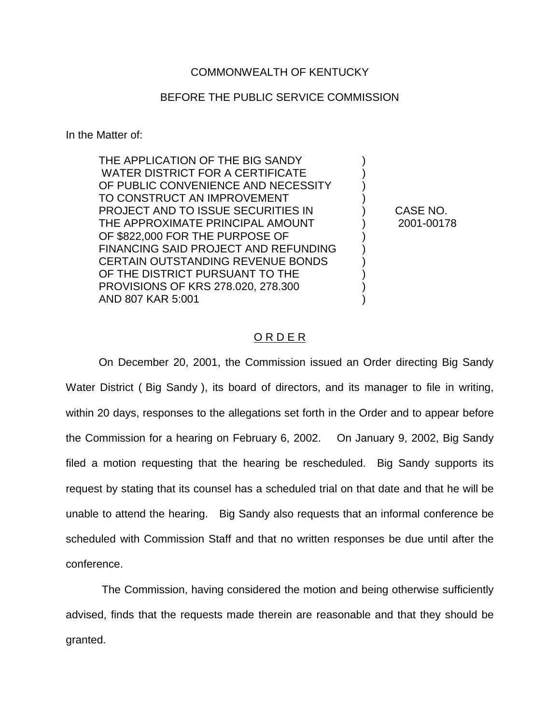## COMMONWEALTH OF KENTUCKY

## BEFORE THE PUBLIC SERVICE COMMISSION

In the Matter of:

THE APPLICATION OF THE BIG SANDY WATER DISTRICT FOR A CERTIFICATE OF PUBLIC CONVENIENCE AND NECESSITY  $\qquad \qquad$  ) TO CONSTRUCT AN IMPROVEMENT PROJECT AND TO ISSUE SECURITIES IN ) CASE NO. THE APPROXIMATE PRINCIPAL AMOUNT ) 2001-00178 OF \$822,000 FOR THE PURPOSE OF FINANCING SAID PROJECT AND REFUNDING  $\qquad$  ) CERTAIN OUTSTANDING REVENUE BONDS  $\qquad \qquad$  ) OF THE DISTRICT PURSUANT TO THE PROVISIONS OF KRS 278.020, 278.300 ) AND 807 KAR 5:001 )

## O R D E R

On December 20, 2001, the Commission issued an Order directing Big Sandy Water District ( Big Sandy ), its board of directors, and its manager to file in writing, within 20 days, responses to the allegations set forth in the Order and to appear before the Commission for a hearing on February 6, 2002. On January 9, 2002, Big Sandy filed a motion requesting that the hearing be rescheduled. Big Sandy supports its request by stating that its counsel has a scheduled trial on that date and that he will be unable to attend the hearing. Big Sandy also requests that an informal conference be scheduled with Commission Staff and that no written responses be due until after the conference.

The Commission, having considered the motion and being otherwise sufficiently advised, finds that the requests made therein are reasonable and that they should be granted.